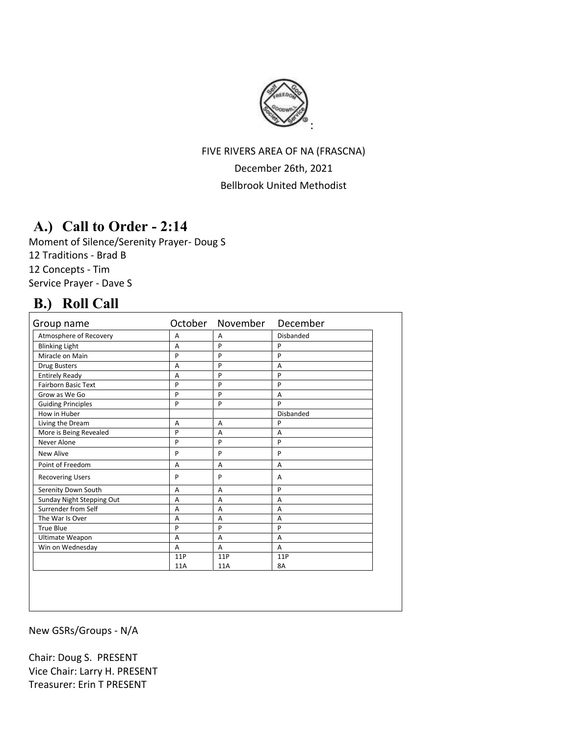

## FIVE RIVERS AREA OF NA (FRASCNA) December 26th, 2021 Bellbrook United Methodist

# **A.) Call to Order - 2:14**

Moment of Silence/Serenity Prayer- Doug S 12 Traditions - Brad B 12 Concepts - Tim Service Prayer - Dave S

## **B.) Roll Call**

| Group name                 |     | October November | December       |
|----------------------------|-----|------------------|----------------|
| Atmosphere of Recovery     | A   | A                | Disbanded      |
| <b>Blinking Light</b>      | A   | P                | P              |
| Miracle on Main            | P   | P                | P              |
| Drug Busters               | A   | P                | A              |
| <b>Entirely Ready</b>      | A   | P                | P              |
| <b>Fairborn Basic Text</b> | P   | P                | P              |
| Grow as We Go              | P   | P                | $\overline{A}$ |
| <b>Guiding Principles</b>  | P   | P                | P              |
| How in Huber               |     |                  | Disbanded      |
| Living the Dream           | A   | $\overline{A}$   | P              |
| More is Being Revealed     | P   | $\overline{A}$   | A              |
| Never Alone                | P   | P                | P              |
| <b>New Alive</b>           | P   | P                | P              |
| Point of Freedom           | A   | $\overline{A}$   | $\overline{A}$ |
| <b>Recovering Users</b>    | P   | P                | A              |
| Serenity Down South        | A   | A                | P              |
| Sunday Night Stepping Out  | A   | A                | A              |
| Surrender from Self        | A   | A                | A              |
| The War Is Over            | A   | $\overline{A}$   | A              |
| <b>True Blue</b>           | P   | P                | P              |
| Ultimate Weapon            | A   | A                | A              |
| Win on Wednesday           | A   | A                | A              |
|                            | 11P | 11P              | 11P            |
|                            | 11A | 11A              | 8A             |

New GSRs/Groups - N/A

Chair: Doug S. PRESENT Vice Chair: Larry H. PRESENT Treasurer: Erin T PRESENT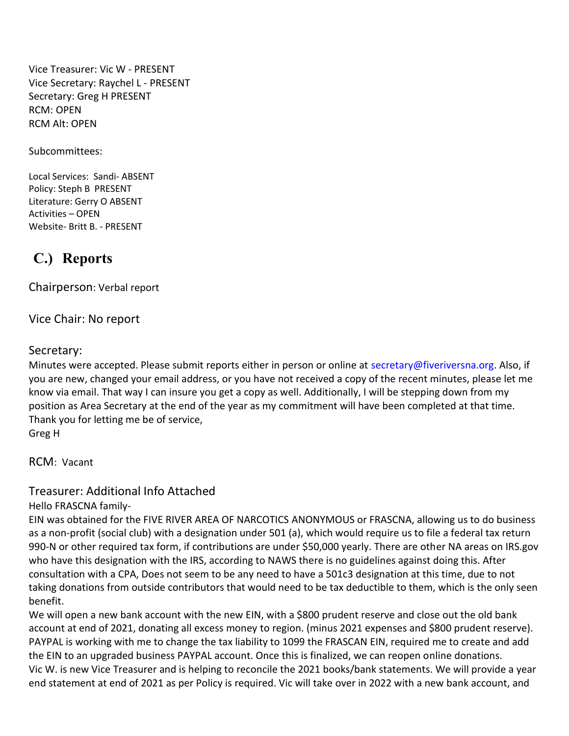Vice Treasurer: Vic W - PRESENT Vice Secretary: Raychel L - PRESENT Secretary: Greg H PRESENT RCM: OPEN RCM Alt: OPEN

Subcommittees:

Local Services: Sandi- ABSENT Policy: Steph B PRESENT Literature: Gerry O ABSENT Activities – OPEN Website- Britt B. - PRESENT

# **C.) Reports**

Chairperson: Verbal report

Vice Chair: No report

#### Secretary:

Minutes were accepted. Please submit reports either in person or online at [secretary@fiveriversna.org.](mailto:secretary@fiveriversna.org) Also, if you are new, changed your email address, or you have not received a copy of the recent minutes, please let me know via email. That way I can insure you get a copy as well. Additionally, I will be stepping down from my position as Area Secretary at the end of the year as my commitment will have been completed at that time. Thank you for letting me be of service, Greg H

RCM: Vacant

### Treasurer: Additional Info Attached

Hello FRASCNA family-

EIN was obtained for the FIVE RIVER AREA OF NARCOTICS ANONYMOUS or FRASCNA, allowing us to do business as a non-profit (social club) with a designation under 501 (a), which would require us to file a federal tax return 990-N or other required tax form, if contributions are under \$50,000 yearly. There are other NA areas on IRS.gov who have this designation with the IRS, according to NAWS there is no guidelines against doing this. After consultation with a CPA, Does not seem to be any need to have a 501c3 designation at this time, due to not taking donations from outside contributors that would need to be tax deductible to them, which is the only seen benefit.

We will open a new bank account with the new EIN, with a \$800 prudent reserve and close out the old bank account at end of 2021, donating all excess money to region. (minus 2021 expenses and \$800 prudent reserve). PAYPAL is working with me to change the tax liability to 1099 the FRASCAN EIN, required me to create and add the EIN to an upgraded business PAYPAL account. Once this is finalized, we can reopen online donations. Vic W. is new Vice Treasurer and is helping to reconcile the 2021 books/bank statements. We will provide a year end statement at end of 2021 as per Policy is required. Vic will take over in 2022 with a new bank account, and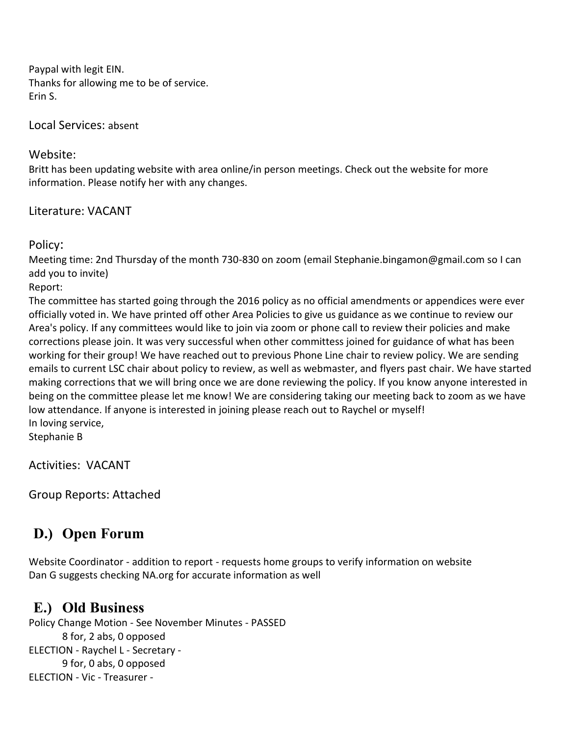Paypal with legit EIN. Thanks for allowing me to be of service. Erin S.

Local Services: absent

### Website:

Britt has been updating website with area online/in person meetings. Check out the website for more information. Please notify her with any changes.

### Literature: VACANT

Policy:

Meeting time: 2nd Thursday of the month 730-830 on zoom (email Stephanie.bingamon@gmail.com so I can add you to invite)

Report:

The committee has started going through the 2016 policy as no official amendments or appendices were ever officially voted in. We have printed off other Area Policies to give us guidance as we continue to review our Area's policy. If any committees would like to join via zoom or phone call to review their policies and make corrections please join. It was very successful when other committess joined for guidance of what has been working for their group! We have reached out to previous Phone Line chair to review policy. We are sending emails to current LSC chair about policy to review, as well as webmaster, and flyers past chair. We have started making corrections that we will bring once we are done reviewing the policy. If you know anyone interested in being on the committee please let me know! We are considering taking our meeting back to zoom as we have low attendance. If anyone is interested in joining please reach out to Raychel or myself! In loving service,

Stephanie B

Activities: VACANT

Group Reports: Attached

# **D.) Open Forum**

Website Coordinator - addition to report - requests home groups to verify information on website Dan G suggests checking NA.org for accurate information as well

## **E.) Old Business**

Policy Change Motion - See November Minutes - PASSED 8 for, 2 abs, 0 opposed ELECTION - Raychel L - Secretary - 9 for, 0 abs, 0 opposed ELECTION - Vic - Treasurer -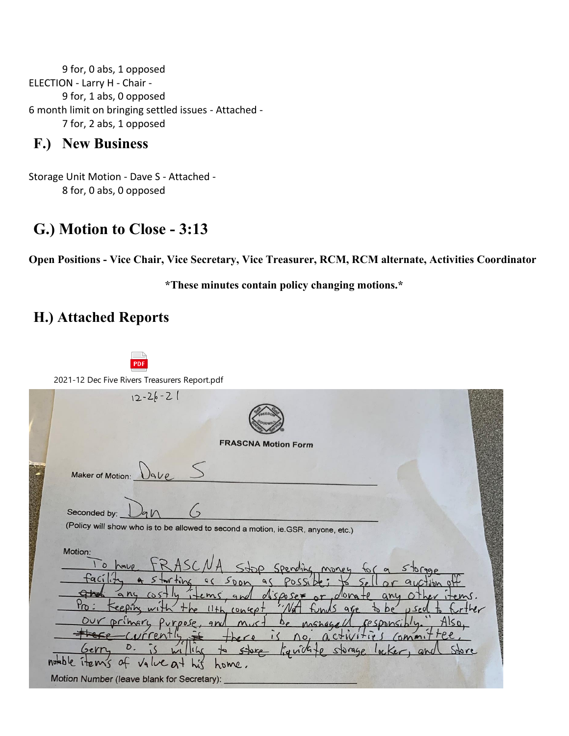9 for, 0 abs, 1 opposed ELECTION - Larry H - Chair - 9 for, 1 abs, 0 opposed 6 month limit on bringing settled issues - Attached - 7 for, 2 abs, 1 opposed

### **F.) New Business**

Storage Unit Motion - Dave S - Attached - 8 for, 0 abs, 0 opposed

## **G.) Motion to Close - 3:13**

**Open Positions - Vice Chair, Vice Secretary, Vice Treasurer, RCM, RCM alternate, Activities Coordinator** 

**\*These minutes contain policy changing motions.\*** 

## **H.) Attached Reports**

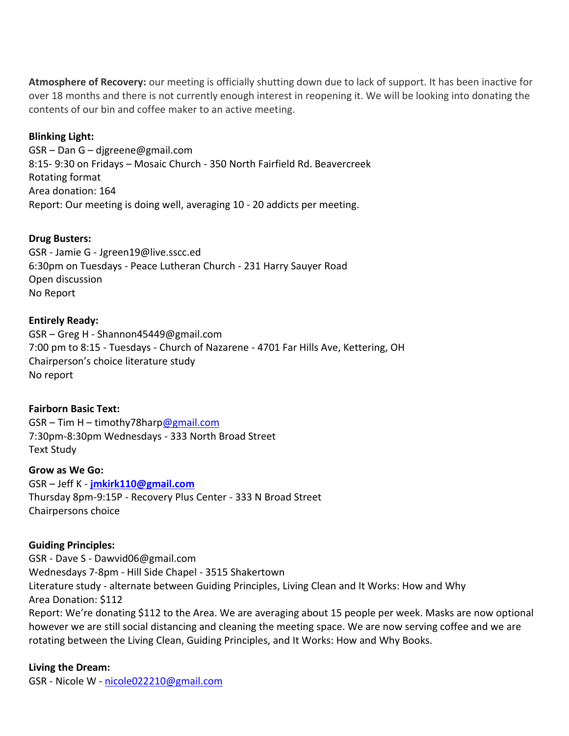**Atmosphere of Recovery:** our meeting is officially shutting down due to lack of support. It has been inactive for over 18 months and there is not currently enough interest in reopening it. We will be looking into donating the contents of our bin and coffee maker to an active meeting.

#### **Blinking Light:**

GSR – Dan G – djgreene@gmail.com 8:15- 9:30 on Fridays – Mosaic Church - 350 North Fairfield Rd. Beavercreek Rotating format Area donation: 164 Report: Our meeting is doing well, averaging 10 - 20 addicts per meeting.

#### **Drug Busters:**

GSR - Jamie G - Jgreen19@live.sscc.ed 6:30pm on Tuesdays - Peace Lutheran Church - 231 Harry Sauyer Road Open discussion No Report

#### **Entirely Ready:**

GSR – Greg H - Shannon45449@gmail.com 7:00 pm to 8:15 - Tuesdays - Church of Nazarene - 4701 Far Hills Ave, Kettering, OH Chairperson's choice literature study No report

#### **Fairborn Basic Text:**

GSR – Tim H – timothy78har[p@gmail.com](mailto:amymcmahan76@gmail.com) 7:30pm-8:30pm Wednesdays - 333 North Broad Street Text Study

#### **Grow as We Go:**

GSR – Jeff K - **[jmkirk110@gmail.com](mailto:jmkirk110@gmail.com)** Thursday 8pm-9:15P - Recovery Plus Center - 333 N Broad Street Chairpersons choice

#### **Guiding Principles:**

GSR - Dave S - Dawvid06@gmail.com Wednesdays 7-8pm - Hill Side Chapel - 3515 Shakertown Literature study - alternate between Guiding Principles, Living Clean and It Works: How and Why Area Donation: \$112 Report: We're donating \$112 to the Area. We are averaging about 15 people per week. Masks are now optional however we are still social distancing and cleaning the meeting space. We are now serving coffee and we are rotating between the Living Clean, Guiding Principles, and It Works: How and Why Books.

#### **Living the Dream:**

GSR - Nicole W - [nicole022210@gmail.com](mailto:nicole022210@gmail.com)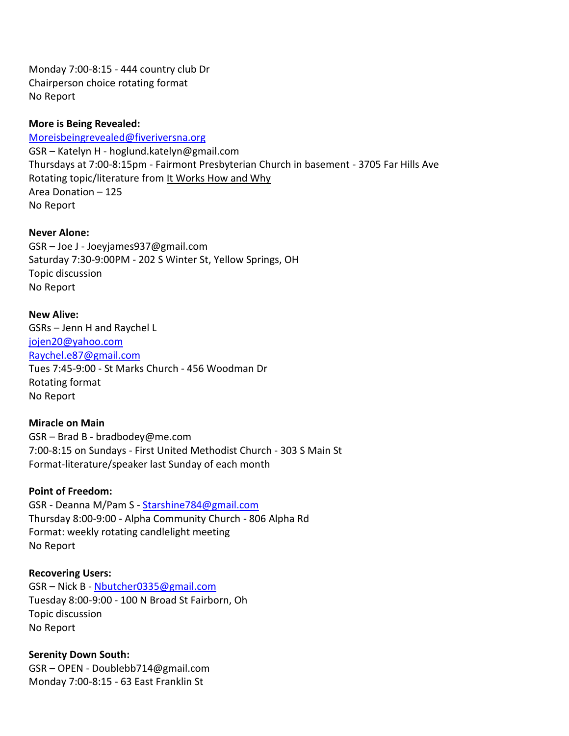Monday 7:00-8:15 - 444 country club Dr Chairperson choice rotating format No Report

#### **More is Being Revealed:**

[Moreisbeingrevealed@fiveriversna.org](mailto:Moreisbeingrevealed@fiveriversna.org) GSR – Katelyn H - hoglund.katelyn@gmail.com Thursdays at 7:00-8:15pm - Fairmont Presbyterian Church in basement - 3705 Far Hills Ave Rotating topic/literature from It Works How and Why Area Donation – 125 No Report

#### **Never Alone:**

GSR – Joe J - Joeyjames937@gmail.com Saturday 7:30-9:00PM - 202 S Winter St, Yellow Springs, OH Topic discussion No Report

# **New Alive:**

GSRs – Jenn H and Raychel L [jojen20@yahoo.com](mailto:jojen20@yahoo.com) Raychel.e87@gmail.com Tues 7:45-9:00 - St Marks Church - 456 Woodman Dr Rotating format No Report

#### **Miracle on Main**

GSR – Brad B - bradbodey@me.com 7:00-8:15 on Sundays - First United Methodist Church - 303 S Main St Format-literature/speaker last Sunday of each month

#### **Point of Freedom:**

GSR - Deanna M/Pam S - [Starshine784@gmail.com](mailto:Starshine784@gmail.com) Thursday 8:00-9:00 - Alpha Community Church - 806 Alpha Rd Format: weekly rotating candlelight meeting No Report

#### **Recovering Users:**

GSR – Nick B - [Nbutcher0335@gmail.com](mailto:Nbutcher0335@gmail.com) Tuesday 8:00-9:00 - 100 N Broad St Fairborn, Oh Topic discussion No Report

#### **Serenity Down South:**

GSR – OPEN - Doublebb714@gmail.com Monday 7:00-8:15 - 63 East Franklin St